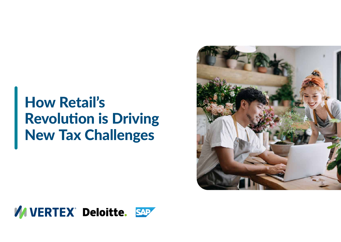# How Retail's Revolution is Driving New Tax Challenges



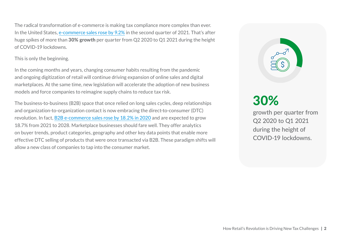The radical transformation of e-commerce is making tax compliance more complex than ever. In the United States, [e-commerce sales rose by 9.2%](https://www.census.gov/retail/mrts/www/data/pdf/ec_current.pdf) in the second quarter of 2021. That's after huge spikes of more than 30% growth per quarter from Q2 2020 to Q1 2021 during the height of COVID-19 lockdowns.

#### This is only the beginning.

In the coming months and years, changing consumer habits resulting from the pandemic and ongoing digitization of retail will continue driving expansion of online sales and digital marketplaces. At the same time, new legislation will accelerate the adoption of new business models and force companies to reimagine supply chains to reduce tax risk.

The business-to-business (B2B) space that once relied on long sales cycles, deep relationships and organization-to-organization contact is now embracing the direct-to-consumer (DTC) revolution. In fact, [B2B e-commerce sales rose by 18.2% in 2020](https://www.grandviewresearch.com/industry-analysis/business-to-business-b2b-e-commerce-market#:~:text=What%20is%20the%20business%2Dto,USD%2025.65%20trillion%20by%202028.) and are expected to grow 18.7% from 2021 to 2028. Marketplace businesses should fare well. They offer analytics on buyer trends, product categories, geography and other key data points that enable more effective DTC selling of products that were once transacted via B2B. These paradigm shifts will allow a new class of companies to tap into the consumer market.



# 30%

growth per quarter from Q2 2020 to Q1 2021 during the height of COVID-19 lockdowns.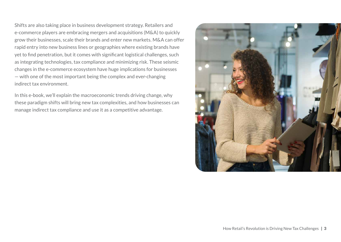Shifts are also taking place in business development strategy. Retailers and e-commerce players are embracing mergers and acquisitions (M&A) to quickly grow their businesses, scale their brands and enter new markets. M&A can offer rapid entry into new business lines or geographies where existing brands have yet to find penetration, but it comes with significant logistical challenges, such as integrating technologies, tax compliance and minimizing risk. These seismic changes in the e-commerce ecosystem have huge implications for businesses — with one of the most important being the complex and ever-changing indirect tax environment.

In this e-book, we'll explain the macroeconomic trends driving change, why these paradigm shifts will bring new tax complexities, and how businesses can manage indirect tax compliance and use it as a competitive advantage.

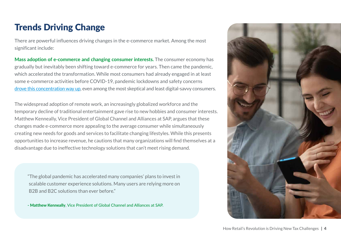## Trends Driving Change

There are powerful influences driving changes in the e-commerce market. Among the most significant include:

**Mass adoption of e-commerce and changing consumer interests.** The consumer economy has gradually but inevitably been shifting toward e-commerce for years. Then came the pandemic, which accelerated the transformation. While most consumers had already engaged in at least some e-commerce activities before COVID-19, pandemic lockdowns and safety concerns [drove this concentration way up](https://www.emarketer.com/content/worldwide-ecommerce-continues-double-digit-growth-following-pandemic-push-online), even among the most skeptical and least digital-savvy consumers.

The widespread adoption of remote work, an increasingly globalized workforce and the temporary decline of traditional entertainment gave rise to new hobbies and consumer interests. Matthew Kenneally, Vice President of Global Channel and Alliances at SAP, argues that these changes made e-commerce more appealing to the average consumer while simultaneously creating new needs for goods and services to facilitate changing lifestyles. While this presents opportunities to increase revenue, he cautions that many organizations will find themselves at a disadvantage due to ineffective technology solutions that can't meet rising demand.

"The global pandemic has accelerated many companies' plans to invest in scalable customer experience solutions. Many users are relying more on B2B and B2C solutions than ever before."

- Matthew Kenneally, Vice President of Global Channel and Alliances at SAP.

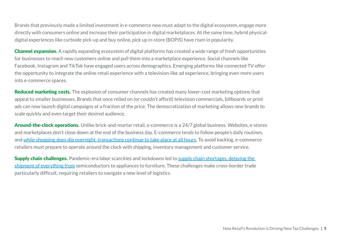Brands that previously made a limited investment in e-commerce now must adapt to the digital ecosystem, engage more directly with consumers online and increase their participation in digital marketplaces. At the same time, hybrid physicaldigital experiences like curbside pick-up and buy online, pick up in-store (BOPIS) have risen in popularity.

**Channel expansion.** A rapidly expanding ecosystem of digital platforms has created a wide range of fresh opportunities for businesses to reach new customers online and pull them into a marketplace experience. Social channels like Facebook, Instagram and TikTok have engaged users across demographics. Emerging platforms like connected TV offer the opportunity to integrate the online retail experience with a television-like ad experience, bringing even more users into e-commerce spaces.

Reduced marketing costs. The explosion of consumer channels has created many lower-cost marketing options that appeal to smaller businesses. Brands that once relied on (or couldn't afford) television commercials, billboards or print ads can now launch digital campaigns at a fraction of the price. The democratization of marketing allows new brands to scale quickly and even target their desired audience.

Around-the-clock operations. Unlike brick-and-mortar retail, e-commerce is a 24/7 global business. Websites, e-stores and marketplaces don't close down at the end of the business day. E-commerce tends to follow people's daily routines, and [while shopping does dip overnight, transactions continue to take place at all hours](https://www.salecycle.com/blog/stats/when-are-people-most-likely-to-buy-online/). To avoid backlog, e-commerce retailers must prepare to operate around the clock with shipping, inventory management and customer service.

Supply chain challenges. Pandemic-era labor scarcities and lockdowns led to supply chain shortages, delaying the [shipment of everything from](https://www.wsj.com/articles/supply-chain-snarls-deliver-windfalls-to-wall-street-11637231401) semiconductors to appliances to furniture. These challenges make cross-border trade particularly difficult, requiring retailers to navigate a new level of logistics.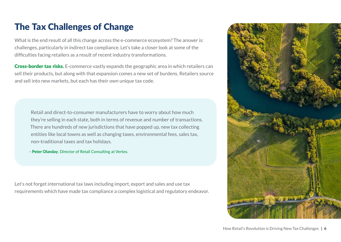### The Tax Challenges of Change

What is the end result of all this change across the e-commerce ecosystem? The answer is: challenges, particularly in indirect tax compliance. Let's take a closer look at some of the difficulties facing retailers as a result of recent industry transformations.

**Cross-border tax risks.** E-commerce vastly expands the geographic area in which retailers can sell their products, but along with that expansion comes a new set of burdens. Retailers source and sell into new markets, but each has their own unique tax code.

Retail and direct-to-consumer manufacturers have to worry about how much they're selling in each state, both in terms of revenue and number of transactions. There are hundreds of new jurisdictions that have popped up, new tax collecting entities like local towns as well as changing taxes, environmental fees, sales tax, non-traditional taxes and tax holidays.

- Peter Olanday, Director of Retail Consulting at Vertex.

Let's not forget international tax laws including import, export and sales and use tax requirements which have made tax compliance a complex logistical and regulatory endeavor.

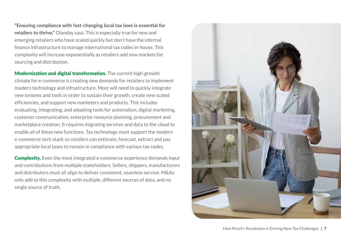"Ensuring compliance with fast-changing local tax laws is essential for retailers to thrive," Olanday says. This is especially true for new and emerging retailers who have scaled quickly but don't have the internal finance infrastructure to manage international tax codes in-house. This complexity will increase exponentially as retailers add new markets for sourcing and distribution.

**Modernization and digital transformation.** The current high-growth climate for e-commerce is creating new demands for retailers to implement modern technology and infrastructure. Most will need to quickly integrate new systems and tools in order to sustain their growth, create new scaled efficiencies, and support new marketers and products. This includes evaluating, integrating, and adopting tools for automation, digital marketing, customer communication, enterprise resource planning, procurement and marketplace creation. It requires migrating services and data to the cloud to enable all of these new functions. Tax technology must support the modern e-commerce tech stack so retailers can estimate, forecast, extract and pay appropriate local taxes to remain in compliance with various tax codes.

**Complexity.** Even the most integrated e-commerce experience demands input and contributions from multiple stakeholders. Sellers, shippers, manufacturers and distributors must all align to deliver consistent, seamless service. M&As only add to this complexity with multiple, different sources of data, and no single source of truth.

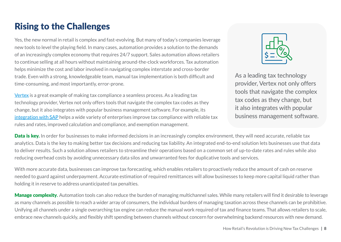### Rising to the Challenges

Yes, the new normal in retail is complex and fast-evolving. But many of today's companies leverage new tools to level the playing field. In many cases, automation provides a solution to the demands of an increasingly complex economy that requires 24/7 support. Sales automation allows retailers to continue selling at all hours without maintaining around-the-clock workforces. Tax automation helps minimize the cost and labor involved in navigating complex interstate and cross-border trade. Even with a strong, knowledgeable team, manual tax implementation is both difficult and time-consuming, and most importantly, error-prone.

[Vertex](https://www.vertexinc.com/?utm_source=retail_touchpoints&utm_medium=display_ad&utm_campaign=202112_DG_RTP_SAP_Deloitte_How_Retail%E2%80%99s_Revolution_is_Driving_New_Tax_E-book) is a great example of making tax compliance a seamless process. As a leading tax technology provider, Vertex not only offers tools that navigate the complex tax codes as they change, but it also integrates with popular business management software. For example, its [integration with SAP](https://www.vertexinc.com/partners/sap/overview) helps a wide variety of enterprises improve tax compliance with reliable tax rules and rates, improved calculation and compliance, and exemption management.



As a leading tax technology provider, Vertex not only offers tools that navigate the complex tax codes as they change, but it also integrates with popular business management software.

**Data is key.** In order for businesses to make informed decisions in an increasingly complex environment, they will need accurate, reliable tax analytics. Data is the key to making better tax decisions and reducing tax liability. An integrated end-to-end solution lets businesses use that data to deliver results. Such a solution allows retailers to streamline their operations based on a common set of up-to-date rates and rules while also reducing overhead costs by avoiding unnecessary data silos and unwarranted fees for duplicative tools and services.

With more accurate data, businesses can improve tax forecasting, which enables retailers to proactively reduce the amount of cash on reserve needed to guard against underpayment. Accurate estimation of required remittances will allow businesses to keep more capital liquid rather than holding it in reserve to address unanticipated tax penalties.

Manage complexity**.** Automation tools can also reduce the burden of managing multichannel sales. While many retailers will find it desirable to leverage as many channels as possible to reach a wider array of consumers, the individual burdens of managing taxation across these channels can be prohibitive. Unifying all channels under a single overarching tax engine can reduce the manual work required of tax and finance teams. That allows retailers to scale, embrace new channels quickly, and flexibly shift spending between channels without concern for overwhelming backend resources with new demand.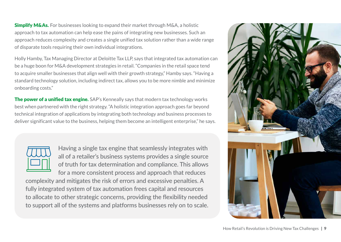**Simplify M&As.** For businesses looking to expand their market through M&A, a holistic approach to tax automation can help ease the pains of integrating new businesses. Such an approach reduces complexity and creates a single unified tax solution rather than a wide range of disparate tools requiring their own individual integrations.

Holly Hamby, Tax Managing Director at Deloitte Tax LLP, says that integrated tax automation can be a huge boon for M&A development strategies in retail. "Companies in the retail space tend to acquire smaller businesses that align well with their growth strategy," Hamby says. "Having a standard technology solution, including indirect tax, allows you to be more nimble and minimize onboarding costs."

**The power of a unified tax engine.** SAP's Kenneally says that modern tax technology works best when partnered with the right strategy. "A holistic integration approach goes far beyond technical integration of applications by integrating both technology and business processes to deliver significant value to the business, helping them become an intelligent enterprise," he says.

Having a single tax engine that seamlessly integrates with all of a retailer's business systems provides a single source of truth for tax determination and compliance. This allows for a more consistent process and approach that reduces

complexity and mitigates the risk of errors and excessive penalties. A fully integrated system of tax automation frees capital and resources to allocate to other strategic concerns, providing the flexibility needed to support all of the systems and platforms businesses rely on to scale.

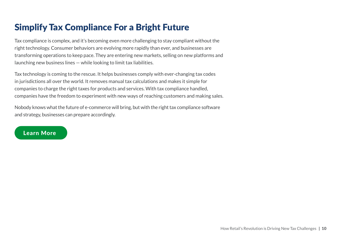## Simplify Tax Compliance For a Bright Future

Tax compliance is complex, and it's becoming even more challenging to stay compliant without the right technology. Consumer behaviors are evolving more rapidly than ever, and businesses are transforming operations to keep pace. They are entering new markets, selling on new platforms and launching new business lines — while looking to limit tax liabilities.

Tax technology is coming to the rescue. It helps businesses comply with ever-changing tax codes in jurisdictions all over the world. It removes manual tax calculations and makes it simple for companies to charge the right taxes for products and services. With tax compliance handled, companies have the freedom to experiment with new ways of reaching customers and making sales.

Nobody knows what the future of e-commerce will bring, but with the right tax compliance software and strategy, businesses can prepare accordingly.

#### [Learn More](https://www.vertexinc.com/partners/sap/overview?utm_source=retail_touchpoints&utm_medium=display_ad&utm_campaign=202112_DG_RTP_SAP_Deloitte_How_Retail%E2%80%99s_Revolution_is_Driving_New_Tax_E-book)